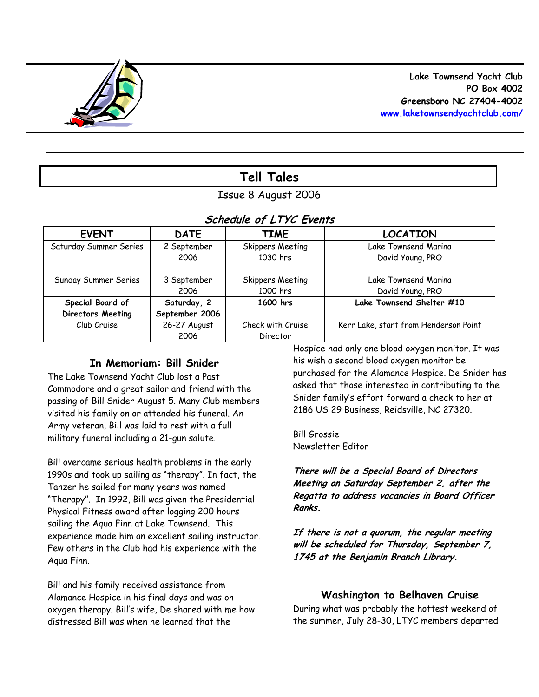

# **Tell Tales**

# Issue 8 August 2006

## **Schedule of LTYC Events**

| <b>EVENT</b>             | <b>DATE</b>    | <b>TIME</b>             | <b>LOCATION</b>                       |
|--------------------------|----------------|-------------------------|---------------------------------------|
| Saturday Summer Series   | 2 September    | <b>Skippers Meeting</b> | Lake Townsend Marina                  |
|                          | 2006           | 1030 hrs                | David Young, PRO                      |
|                          |                |                         |                                       |
| Sunday Summer Series     | 3 September    | Skippers Meeting        | Lake Townsend Marina                  |
|                          | 2006           | 1000 hrs                | David Young, PRO                      |
| Special Board of         | Saturday, 2    | 1600 hrs                | Lake Townsend Shelter #10             |
| <b>Directors Meeting</b> | September 2006 |                         |                                       |
| Club Cruise              | 26-27 August   | Check with Cruise       | Kerr Lake, start from Henderson Point |
|                          | 2006           | Director                |                                       |

#### **In Memoriam: Bill Snider**

The Lake Townsend Yacht Club lost a Past Commodore and a great sailor and friend with the passing of Bill Snider August 5. Many Club members visited his family on or attended his funeral. An Army veteran, Bill was laid to rest with a full military funeral including a 21-gun salute.

Bill overcame serious health problems in the early 1990s and took up sailing as "therapy". In fact, the Tanzer he sailed for many years was named "Therapy". In 1992, Bill was given the Presidential Physical Fitness award after logging 200 hours sailing the Aqua Finn at Lake Townsend. This experience made him an excellent sailing instructor. Few others in the Club had his experience with the Aqua Finn.

Bill and his family received assistance from Alamance Hospice in his final days and was on oxygen therapy. Bill's wife, De shared with me how distressed Bill was when he learned that the

Hospice had only one blood oxygen monitor. It was his wish a second blood oxygen monitor be purchased for the Alamance Hospice. De Snider has asked that those interested in contributing to the Snider family's effort forward a check to her at 2186 US 29 Business, Reidsville, NC 27320.

Bill Grossie Newsletter Editor

**There will be a Special Board of Directors Meeting on Saturday September 2, after the Regatta to address vacancies in Board Officer Ranks.** 

**If there is not a quorum, the regular meeting will be scheduled for Thursday, September 7, 1745 at the Benjamin Branch Library.** 

#### **Washington to Belhaven Cruise**

During what was probably the hottest weekend of the summer, July 28-30, LTYC members departed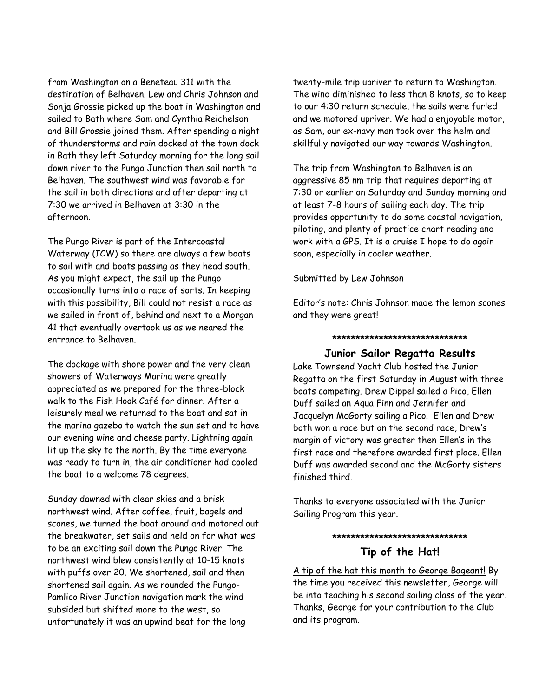from Washington on a Beneteau 311 with the destination of Belhaven. Lew and Chris Johnson and Sonja Grossie picked up the boat in Washington and sailed to Bath where Sam and Cynthia Reichelson and Bill Grossie joined them. After spending a night of thunderstorms and rain docked at the town dock in Bath they left Saturday morning for the long sail down river to the Pungo Junction then sail north to Belhaven. The southwest wind was favorable for the sail in both directions and after departing at 7:30 we arrived in Belhaven at 3:30 in the afternoon.

The Pungo River is part of the Intercoastal Waterway (ICW) so there are always a few boats to sail with and boats passing as they head south. As you might expect, the sail up the Pungo occasionally turns into a race of sorts. In keeping with this possibility, Bill could not resist a race as we sailed in front of, behind and next to a Morgan 41 that eventually overtook us as we neared the entrance to Belhaven.

The dockage with shore power and the very clean showers of Waterways Marina were greatly appreciated as we prepared for the three-block walk to the Fish Hook Café for dinner. After a leisurely meal we returned to the boat and sat in the marina gazebo to watch the sun set and to have our evening wine and cheese party. Lightning again lit up the sky to the north. By the time everyone was ready to turn in, the air conditioner had cooled the boat to a welcome 78 degrees.

Sunday dawned with clear skies and a brisk northwest wind. After coffee, fruit, bagels and scones, we turned the boat around and motored out the breakwater, set sails and held on for what was to be an exciting sail down the Pungo River. The northwest wind blew consistently at 10-15 knots with puffs over 20. We shortened, sail and then shortened sail again. As we rounded the Pungo-Pamlico River Junction navigation mark the wind subsided but shifted more to the west, so unfortunately it was an upwind beat for the long

twenty-mile trip upriver to return to Washington. The wind diminished to less than 8 knots, so to keep to our 4:30 return schedule, the sails were furled and we motored upriver. We had a enjoyable motor, as Sam, our ex-navy man took over the helm and skillfully navigated our way towards Washington.

The trip from Washington to Belhaven is an aggressive 85 nm trip that requires departing at 7:30 or earlier on Saturday and Sunday morning and at least 7-8 hours of sailing each day. The trip provides opportunity to do some coastal navigation, piloting, and plenty of practice chart reading and work with a GPS. It is a cruise I hope to do again soon, especially in cooler weather.

Submitted by Lew Johnson

Editor's note: Chris Johnson made the lemon scones and they were great!

**\*\*\*\*\*\*\*\*\*\*\*\*\*\*\*\*\*\*\*\*\*\*\*\*\*\*\*\*\*** 

#### **Junior Sailor Regatta Results**

Lake Townsend Yacht Club hosted the Junior Regatta on the first Saturday in August with three boats competing. Drew Dippel sailed a Pico, Ellen Duff sailed an Aqua Finn and Jennifer and Jacquelyn McGorty sailing a Pico. Ellen and Drew both won a race but on the second race, Drew's margin of victory was greater then Ellen's in the first race and therefore awarded first place. Ellen Duff was awarded second and the McGorty sisters finished third.

Thanks to everyone associated with the Junior Sailing Program this year.

**\*\*\*\*\*\*\*\*\*\*\*\*\*\*\*\*\*\*\*\*\*\*\*\*\*\*\*\*\*** 

#### **Tip of the Hat!**

A tip of the hat this month to George Bageant! By the time you received this newsletter, George will be into teaching his second sailing class of the year. Thanks, George for your contribution to the Club and its program.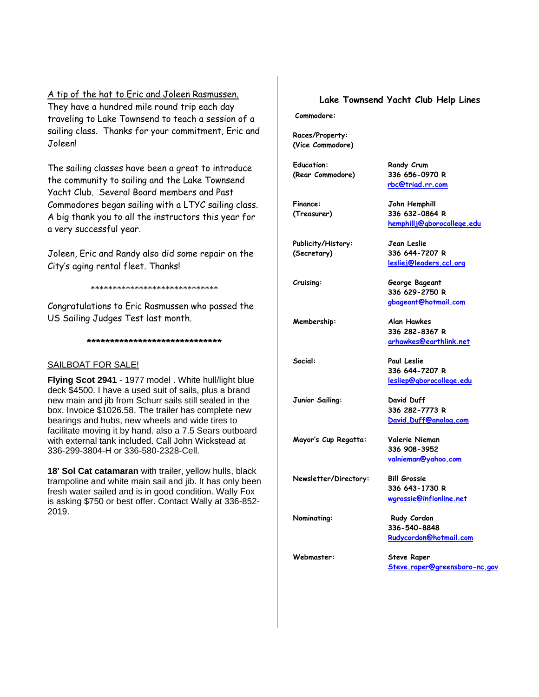A tip of the hat to Eric and Joleen Rasmussen. They have a hundred mile round trip each day traveling to Lake Townsend to teach a session of a sailing class. Thanks for your commitment, Eric and Joleen!

The sailing classes have been a great to introduce the community to sailing and the Lake Townsend Yacht Club. Several Board members and Past Commodores began sailing with a LTYC sailing class. A big thank you to all the instructors this year for a very successful year.

Joleen, Eric and Randy also did some repair on the City's aging rental fleet. Thanks!

\*\*\*\*\*\*\*\*\*\*\*\*\*\*\*\*\*\*\*\*\*\*\*\*\*\*\*\*\*

Congratulations to Eric Rasmussen who passed the US Sailing Judges Test last month.

**\*\*\*\*\*\*\*\*\*\*\*\*\*\*\*\*\*\*\*\*\*\*\*\*\*\*\*\*\***

#### SAILBOAT FOR SALE!

**Flying Scot 2941** - 1977 model . White hull/light blue deck \$4500. I have a used suit of sails, plus a brand new main and jib from Schurr sails still sealed in the box. Invoice \$1026.58. The trailer has complete new bearings and hubs, new wheels and wide tires to facilitate moving it by hand. also a 7.5 Sears outboard with external tank included. Call John Wickstead at 336-299-3804-H or 336-580-2328-Cell.

**18' Sol Cat catamaran** with trailer, yellow hulls, black trampoline and white main sail and jib. It has only been fresh water sailed and is in good condition. Wally Fox is asking \$750 or best offer. Contact Wally at 336-852- 2019.

#### **Lake Townsend Yacht Club Help Lines**

 **[rbc@triad.rr.com](mailto:rbc@triad.rr.com)**

**[hemphillj@gborocollege.edu](mailto:hemphillj@gborocollege.edu)**

**[lesliej@leaders.ccl.org](mailto:lesliej@leaders.ccl.org)** 

**336 629-2750 R [gbageant@hotmail.com](mailto:gbadgeant@hotmail.com)**

 **336 282-8367 R [arhawkes@earthlink.net](mailto:arhawkes@earthlink.net)**

**336 644-7207 R [lesliep@gborocollege.edu](mailto:lesliep@gborocollege.edu)** 

**336 282-7773 R [David.Duff@analog.com](mailto:David.Duff@analog.com)** 

 **336 908-3952 [valnieman@yahoo.com](mailto:valnieman@yahoo.com)**

**336 643-1730 R [wgrossie@infionline.net](mailto:wgrossie@infi.net)** 

**Commodore:**

**Races/Property: (Vice Commodore)** 

**Education: Randy Crum (Rear Commodore) 336 656-0970 R** 

**Finance: John Hemphill (Treasurer) 336 632-0864 R** 

**Publicity/History: Jean Leslie (Secretary) 336 644-7207 R** 

**Cruising: George Bageant** 

**Membership: Alan Hawkes** 

**Social: Paul Leslie** 

**Junior Sailing: David Duff** 

**Mayor's Cup Regatta: Valerie Nieman** 

**Newsletter/Directory: Bill Grossie** 

**Nominating:** Rudy Cordon **336-540-8848 [Rudycordon@hotmail.com](mailto:Rudycordon@hotmail.com)**

**Webmaster: Steve Raper** 

**[Steve.raper@greensboro-nc.gov](mailto:Steve.raper@greensboro-nc.gov)**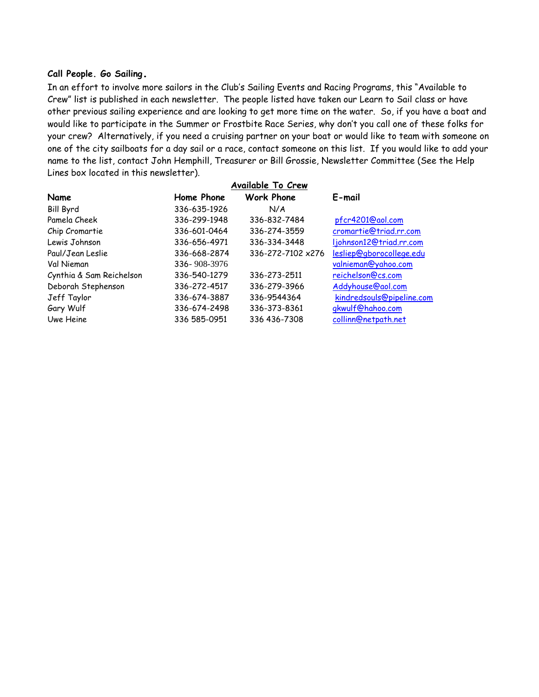#### **Call People. Go Sailing.**

In an effort to involve more sailors in the Club's Sailing Events and Racing Programs, this "Available to Crew" list is published in each newsletter. The people listed have taken our Learn to Sail class or have other previous sailing experience and are looking to get more time on the water. So, if you have a boat and would like to participate in the Summer or Frostbite Race Series, why don't you call one of these folks for your crew? Alternatively, if you need a cruising partner on your boat or would like to team with someone on one of the city sailboats for a day sail or a race, contact someone on this list. If you would like to add your name to the list, contact John Hemphill, Treasurer or Bill Grossie, Newsletter Committee (See the Help Lines box located in this newsletter).

|                          |              | Available To Crew |                           |
|--------------------------|--------------|-------------------|---------------------------|
| Name                     | Home Phone   | <b>Work Phone</b> | E-mail                    |
| <b>Bill Byrd</b>         | 336-635-1926 | N/A               |                           |
| Pamela Cheek             | 336-299-1948 | 336-832-7484      | pfcr4201@aol.com          |
| Chip Cromartie           | 336-601-0464 | 336-274-3559      | cromartie@triad.rr.com    |
| Lewis Johnson            | 336-656-4971 | 336-334-3448      | ljohnson12@triad.rr.com   |
| Paul/Jean Leslie         | 336-668-2874 | 336-272-7102 x276 | lesliep@gborocollege.edu  |
| Val Nieman               | 336-908-3976 |                   | valnieman@yahoo.com       |
| Cynthia & Sam Reichelson | 336-540-1279 | 336-273-2511      | reichelson@cs.com         |
| Deborah Stephenson       | 336-272-4517 | 336-279-3966      | Addyhouse@aol.com         |
| Jeff Taylor              | 336-674-3887 | 336-9544364       | kindredsouls@pipeline.com |
| Gary Wulf                | 336-674-2498 | 336-373-8361      | gkwulf@hahoo.com          |
| Uwe Heine                | 336 585-0951 | 336 436-7308      | collinn@netpath.net       |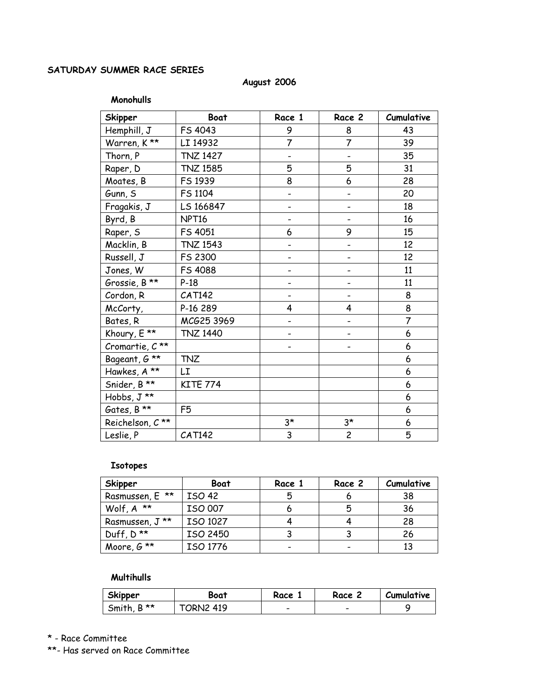# **SATURDAY SUMMER RACE SERIES**

#### **August 2006**

#### **Monohulls**

| <b>Skipper</b>              | <b>Boat</b>       | Race 1                   | Race 2         | Cumulative |
|-----------------------------|-------------------|--------------------------|----------------|------------|
| Hemphill, J                 | FS 4043           | 9                        | 8              | 43         |
| Warren, K**                 | LI 14932          | $\overline{7}$           | $\overline{7}$ | 39         |
| Thorn, P                    | <b>TNZ 1427</b>   |                          |                | 35         |
| Raper, D                    | <b>TNZ 1585</b>   | 5                        | 5              | 31         |
| Moates, B                   | FS 1939           | 8                        | 6              | 28         |
| Gunn, S                     | FS 1104           |                          |                | 20         |
| Fragakis, J                 | LS 166847         |                          |                | 18         |
| Byrd, B                     | NPT <sub>16</sub> |                          |                | 16         |
| Raper, S                    | FS 4051           | 6                        | 9              | 15         |
| Macklin, B                  | <b>TNZ 1543</b>   |                          |                | 12         |
| Russell, J                  | FS 2300           |                          |                | 12         |
| Jones, W                    | FS 4088           |                          |                | 11         |
| Grossie, B **               | $P-18$            |                          |                | 11         |
| Cordon, R                   | CAT142            | $\overline{\phantom{0}}$ |                | 8          |
| McCorty,                    | P-16 289          | 4                        | 4              | 8          |
| Bates, R                    | MCG25 3969        |                          |                | 7          |
| Khoury, E **                | <b>TNZ 1440</b>   |                          |                | 6          |
| Cromartie, $C^{\star\star}$ |                   | -                        |                | 6          |
| Bageant, G **               | <b>TNZ</b>        |                          |                | 6          |
| Hawkes, A **                | LI                |                          |                | 6          |
| Snider, B **                | <b>KITE 774</b>   |                          |                | 6          |
| Hobbs, J **                 |                   |                          |                | 6          |
| Gates, B **                 | F <sub>5</sub>    |                          |                | 6          |
| Reichelson, C**             |                   | $3*$                     | $3^{\star}$    | 6          |
| Leslie, P                   | <b>CAT142</b>     | 3                        | $\overline{c}$ | 5          |

#### **Isotopes**

| Skipper                 | <b>Boat</b>   | Race 1 | Race 2 | Cumulative |
|-------------------------|---------------|--------|--------|------------|
| Rasmussen, E **         | <b>ISO 42</b> | 5      |        | 38         |
| Wolf, $A^*$             | ISO 007       |        | 5      | 36         |
| Rasmussen, J **         | ISO 1027      |        |        | 28         |
| Duff, $D^{\star\star}$  | ISO 2450      |        |        | 26         |
| Moore, $G^{\star\star}$ | ISO 1776      |        |        | 13         |

## **Multihulls**

| Skipper                    | Boat             | Race                     | Race | Cumulative |
|----------------------------|------------------|--------------------------|------|------------|
| $B^{\star\star}$<br>Smith, | <b>FORN2 419</b> | $\overline{\phantom{0}}$ | -    |            |

\* - Race Committee

\*\*- Has served on Race Committee